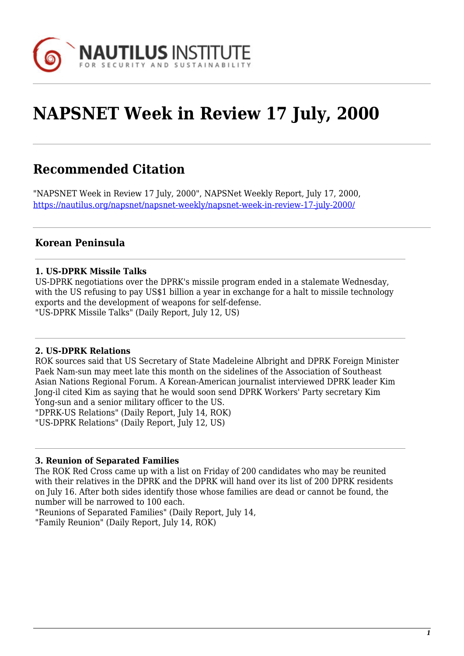

# **NAPSNET Week in Review 17 July, 2000**

# **Recommended Citation**

"NAPSNET Week in Review 17 July, 2000", NAPSNet Weekly Report, July 17, 2000, <https://nautilus.org/napsnet/napsnet-weekly/napsnet-week-in-review-17-july-2000/>

# **Korean Peninsula**

#### **1. US-DPRK Missile Talks**

US-DPRK negotiations over the DPRK's missile program ended in a stalemate Wednesday, with the US refusing to pay US\$1 billion a year in exchange for a halt to missile technology exports and the development of weapons for self-defense. "US-DPRK Missile Talks" (Daily Report, July 12, US)

#### **2. US-DPRK Relations**

ROK sources said that US Secretary of State Madeleine Albright and DPRK Foreign Minister Paek Nam-sun may meet late this month on the sidelines of the Association of Southeast Asian Nations Regional Forum. A Korean-American journalist interviewed DPRK leader Kim Jong-il cited Kim as saying that he would soon send DPRK Workers' Party secretary Kim Yong-sun and a senior military officer to the US. "DPRK-US Relations" (Daily Report, July 14, ROK) "US-DPRK Relations" (Daily Report, July 12, US)

#### **3. Reunion of Separated Families**

The ROK Red Cross came up with a list on Friday of 200 candidates who may be reunited with their relatives in the DPRK and the DPRK will hand over its list of 200 DPRK residents on July 16. After both sides identify those whose families are dead or cannot be found, the number will be narrowed to 100 each.

"Reunions of Separated Families" (Daily Report, July 14,

"Family Reunion" (Daily Report, July 14, ROK)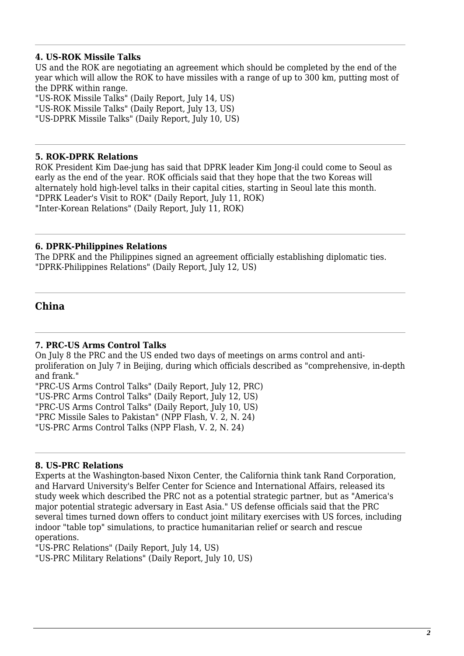#### **4. US-ROK Missile Talks**

US and the ROK are negotiating an agreement which should be completed by the end of the year which will allow the ROK to have missiles with a range of up to 300 km, putting most of the DPRK within range.

"US-ROK Missile Talks" (Daily Report, July 14, US) "US-ROK Missile Talks" (Daily Report, July 13, US) "US-DPRK Missile Talks" (Daily Report, July 10, US)

#### **5. ROK-DPRK Relations**

ROK President Kim Dae-jung has said that DPRK leader Kim Jong-il could come to Seoul as early as the end of the year. ROK officials said that they hope that the two Koreas will alternately hold high-level talks in their capital cities, starting in Seoul late this month. "DPRK Leader's Visit to ROK" (Daily Report, July 11, ROK) "Inter-Korean Relations" (Daily Report, July 11, ROK)

#### **6. DPRK-Philippines Relations**

The DPRK and the Philippines signed an agreement officially establishing diplomatic ties. "DPRK-Philippines Relations" (Daily Report, July 12, US)

# **China**

#### **7. PRC-US Arms Control Talks**

On July 8 the PRC and the US ended two days of meetings on arms control and antiproliferation on July 7 in Beijing, during which officials described as "comprehensive, in-depth and frank."

"PRC-US Arms Control Talks" (Daily Report, July 12, PRC) "US-PRC Arms Control Talks" (Daily Report, July 12, US) "PRC-US Arms Control Talks" (Daily Report, July 10, US) "PRC Missile Sales to Pakistan" (NPP Flash, V. 2, N. 24) "US-PRC Arms Control Talks (NPP Flash, V. 2, N. 24)

#### **8. US-PRC Relations**

Experts at the Washington-based Nixon Center, the California think tank Rand Corporation, and Harvard University's Belfer Center for Science and International Affairs, released its study week which described the PRC not as a potential strategic partner, but as "America's major potential strategic adversary in East Asia." US defense officials said that the PRC several times turned down offers to conduct joint military exercises with US forces, including indoor "table top" simulations, to practice humanitarian relief or search and rescue operations.

"US-PRC Relations" (Daily Report, July 14, US)

"US-PRC Military Relations" (Daily Report, July 10, US)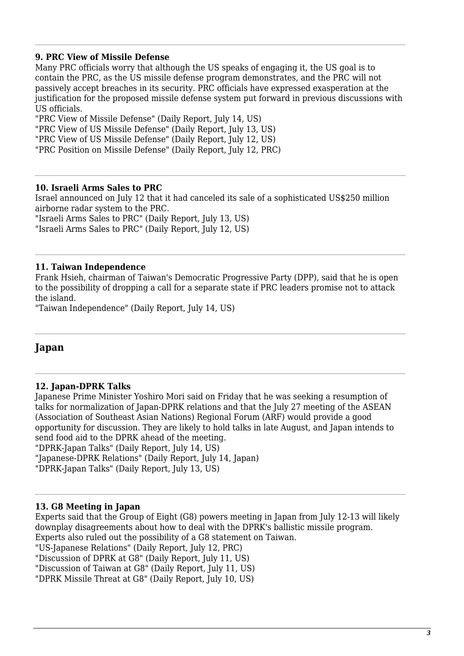#### **9. PRC View of Missile Defense**

Many PRC officials worry that although the US speaks of engaging it, the US goal is to contain the PRC, as the US missile defense program demonstrates, and the PRC will not passively accept breaches in its security. PRC officials have expressed exasperation at the justification for the proposed missile defense system put forward in previous discussions with US officials.

"PRC View of Missile Defense" (Daily Report, July 14, US) "PRC View of US Missile Defense" (Daily Report, July 13, US) "PRC View of US Missile Defense" (Daily Report, July 12, US)

"PRC Position on Missile Defense" (Daily Report, July 12, PRC)

#### **10. Israeli Arms Sales to PRC**

Israel announced on July 12 that it had canceled its sale of a sophisticated US\$250 million airborne radar system to the PRC.

"Israeli Arms Sales to PRC" (Daily Report, July 13, US) "Israeli Arms Sales to PRC" (Daily Report, July 12, US)

#### **11. Taiwan Independence**

Frank Hsieh, chairman of Taiwan's Democratic Progressive Party (DPP), said that he is open to the possibility of dropping a call for a separate state if PRC leaders promise not to attack the island.

"Taiwan Independence" (Daily Report, July 14, US)

### **Japan**

#### **12. Japan-DPRK Talks**

Japanese Prime Minister Yoshiro Mori said on Friday that he was seeking a resumption of talks for normalization of Japan-DPRK relations and that the July 27 meeting of the ASEAN (Association of Southeast Asian Nations) Regional Forum (ARF) would provide a good opportunity for discussion. They are likely to hold talks in late August, and Japan intends to send food aid to the DPRK ahead of the meeting. "DPRK-Japan Talks" (Daily Report, July 14, US) "Japanese-DPRK Relations" (Daily Report, July 14, Japan)

"DPRK-Japan Talks" (Daily Report, July 13, US)

#### **13. G8 Meeting in Japan**

Experts said that the Group of Eight (G8) powers meeting in Japan from July 12-13 will likely downplay disagreements about how to deal with the DPRK's ballistic missile program. Experts also ruled out the possibility of a G8 statement on Taiwan.

"US-Japanese Relations" (Daily Report, July 12, PRC)

"Discussion of DPRK at G8" (Daily Report, July 11, US)

"Discussion of Taiwan at G8" (Daily Report, July 11, US)

"DPRK Missile Threat at G8" (Daily Report, July 10, US)